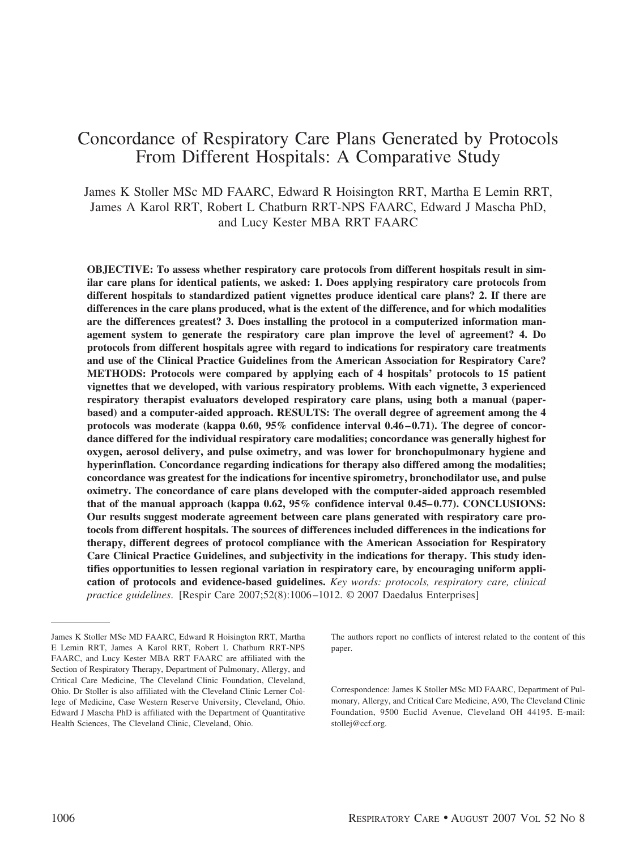# Concordance of Respiratory Care Plans Generated by Protocols From Different Hospitals: A Comparative Study

James K Stoller MSc MD FAARC, Edward R Hoisington RRT, Martha E Lemin RRT, James A Karol RRT, Robert L Chatburn RRT-NPS FAARC, Edward J Mascha PhD, and Lucy Kester MBA RRT FAARC

**OBJECTIVE: To assess whether respiratory care protocols from different hospitals result in similar care plans for identical patients, we asked: 1. Does applying respiratory care protocols from different hospitals to standardized patient vignettes produce identical care plans? 2. If there are differences in the care plans produced, what is the extent of the difference, and for which modalities are the differences greatest? 3. Does installing the protocol in a computerized information management system to generate the respiratory care plan improve the level of agreement? 4. Do protocols from different hospitals agree with regard to indications for respiratory care treatments and use of the Clinical Practice Guidelines from the American Association for Respiratory Care? METHODS: Protocols were compared by applying each of 4 hospitals' protocols to 15 patient vignettes that we developed, with various respiratory problems. With each vignette, 3 experienced respiratory therapist evaluators developed respiratory care plans, using both a manual (paperbased) and a computer-aided approach. RESULTS: The overall degree of agreement among the 4** protocols was moderate (kappa 0.60, 95% confidence interval 0.46–0.71). The degree of concor**dance differed for the individual respiratory care modalities; concordance was generally highest for oxygen, aerosol delivery, and pulse oximetry, and was lower for bronchopulmonary hygiene and hyperinflation. Concordance regarding indications for therapy also differed among the modalities; concordance was greatest for the indications for incentive spirometry, bronchodilator use, and pulse oximetry. The concordance of care plans developed with the computer-aided approach resembled** that of the manual approach (kappa 0.62, 95% confidence interval 0.45–0.77). CONCLUSIONS: **Our results suggest moderate agreement between care plans generated with respiratory care protocols from different hospitals. The sources of differences included differences in the indications for therapy, different degrees of protocol compliance with the American Association for Respiratory Care Clinical Practice Guidelines, and subjectivity in the indications for therapy. This study identifies opportunities to lessen regional variation in respiratory care, by encouraging uniform application of protocols and evidence-based guidelines.** *Key words: protocols, respiratory care, clinical practice guidelines*. [Respir Care 2007;52(8):1006 –1012. © 2007 Daedalus Enterprises]

The authors report no conflicts of interest related to the content of this paper.

Correspondence: James K Stoller MSc MD FAARC, Department of Pulmonary, Allergy, and Critical Care Medicine, A90, The Cleveland Clinic Foundation, 9500 Euclid Avenue, Cleveland OH 44195. E-mail: stollej@ccf.org.

James K Stoller MSc MD FAARC, Edward R Hoisington RRT, Martha E Lemin RRT, James A Karol RRT, Robert L Chatburn RRT-NPS FAARC, and Lucy Kester MBA RRT FAARC are affiliated with the Section of Respiratory Therapy, Department of Pulmonary, Allergy, and Critical Care Medicine, The Cleveland Clinic Foundation, Cleveland, Ohio. Dr Stoller is also affiliated with the Cleveland Clinic Lerner College of Medicine, Case Western Reserve University, Cleveland, Ohio. Edward J Mascha PhD is affiliated with the Department of Quantitative Health Sciences, The Cleveland Clinic, Cleveland, Ohio.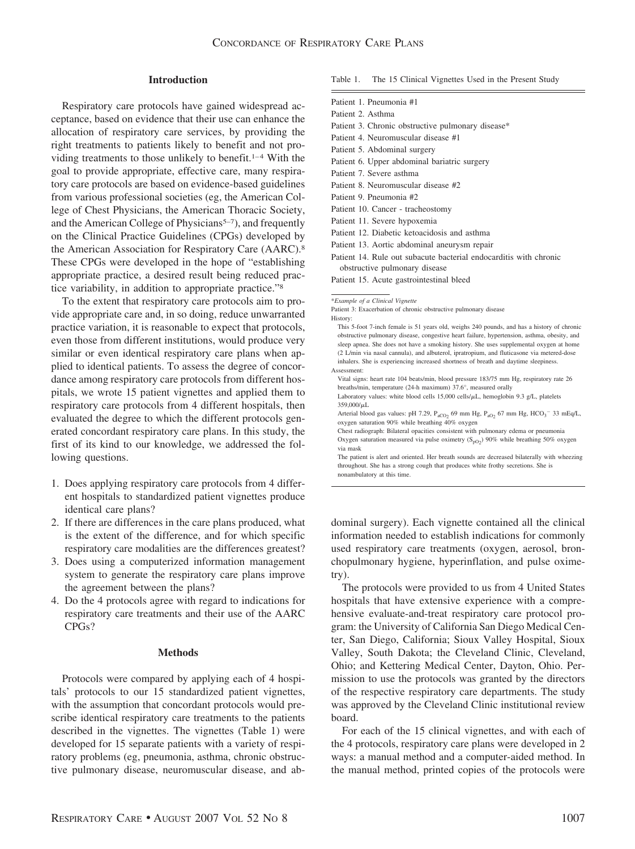## **Introduction**

Respiratory care protocols have gained widespread acceptance, based on evidence that their use can enhance the allocation of respiratory care services, by providing the right treatments to patients likely to benefit and not providing treatments to those unlikely to benefit.<sup>1–4</sup> With the goal to provide appropriate, effective care, many respiratory care protocols are based on evidence-based guidelines from various professional societies (eg, the American College of Chest Physicians, the American Thoracic Society, and the American College of Physicians<sup>5-7</sup>), and frequently on the Clinical Practice Guidelines (CPGs) developed by the American Association for Respiratory Care (AARC).<sup>8</sup> These CPGs were developed in the hope of "establishing appropriate practice, a desired result being reduced practice variability, in addition to appropriate practice."8

To the extent that respiratory care protocols aim to provide appropriate care and, in so doing, reduce unwarranted practice variation, it is reasonable to expect that protocols, even those from different institutions, would produce very similar or even identical respiratory care plans when applied to identical patients. To assess the degree of concordance among respiratory care protocols from different hospitals, we wrote 15 patient vignettes and applied them to respiratory care protocols from 4 different hospitals, then evaluated the degree to which the different protocols generated concordant respiratory care plans. In this study, the first of its kind to our knowledge, we addressed the following questions.

- 1. Does applying respiratory care protocols from 4 different hospitals to standardized patient vignettes produce identical care plans?
- 2. If there are differences in the care plans produced, what is the extent of the difference, and for which specific respiratory care modalities are the differences greatest?
- 3. Does using a computerized information management system to generate the respiratory care plans improve the agreement between the plans?
- 4. Do the 4 protocols agree with regard to indications for respiratory care treatments and their use of the AARC CPGs?

#### **Methods**

Protocols were compared by applying each of 4 hospitals' protocols to our 15 standardized patient vignettes, with the assumption that concordant protocols would prescribe identical respiratory care treatments to the patients described in the vignettes. The vignettes (Table 1) were developed for 15 separate patients with a variety of respiratory problems (eg, pneumonia, asthma, chronic obstructive pulmonary disease, neuromuscular disease, and abTable 1. The 15 Clinical Vignettes Used in the Present Study

- Patient 1. Pneumonia #1
- Patient 2. Asthma
- Patient 3. Chronic obstructive pulmonary disease\*
- Patient 4. Neuromuscular disease #1
- Patient 5. Abdominal surgery
- Patient 6. Upper abdominal bariatric surgery
- Patient 7. Severe asthma
- Patient 8. Neuromuscular disease #2
- Patient 9. Pneumonia #2
- Patient 10. Cancer tracheostomy
- Patient 11. Severe hypoxemia
- Patient 12. Diabetic ketoacidosis and asthma
- Patient 13. Aortic abdominal aneurysm repair
- Patient 14. Rule out subacute bacterial endocarditis with chronic obstructive pulmonary disease
- Patient 15. Acute gastrointestinal bleed

Patient 3: Exacerbation of chronic obstructive pulmonary disease History:

Vital signs: heart rate 104 beats/min, blood pressure 183/75 mm Hg, respiratory rate 26 breaths/min, temperature (24-h maximum) 37.6°, measured orally Laboratory values: white blood cells  $15,000$  cells/ $\mu$ L, hemoglobin 9.3 g/L, platelets 359,000/µL

Arterial blood gas values: pH 7.29,  $P_{aCO_2}$  69 mm Hg,  $P_{aO_2}$  67 mm Hg,  $HCO_3^-$  33 mEq/L, oxygen saturation 90% while breathing 40% oxygen

Chest radiograph: Bilateral opacities consistent with pulmonary edema or pneumonia Oxygen saturation measured via pulse oximetry  $(S_{pO_2})$  90% while breathing 50% oxygen via mask

The patient is alert and oriented. Her breath sounds are decreased bilaterally with wheezing throughout. She has a strong cough that produces white frothy secretions. She is nonambulatory at this time.

dominal surgery). Each vignette contained all the clinical information needed to establish indications for commonly used respiratory care treatments (oxygen, aerosol, bronchopulmonary hygiene, hyperinflation, and pulse oximetry).

The protocols were provided to us from 4 United States hospitals that have extensive experience with a comprehensive evaluate-and-treat respiratory care protocol program: the University of California San Diego Medical Center, San Diego, California; Sioux Valley Hospital, Sioux Valley, South Dakota; the Cleveland Clinic, Cleveland, Ohio; and Kettering Medical Center, Dayton, Ohio. Permission to use the protocols was granted by the directors of the respective respiratory care departments. The study was approved by the Cleveland Clinic institutional review board.

For each of the 15 clinical vignettes, and with each of the 4 protocols, respiratory care plans were developed in 2 ways: a manual method and a computer-aided method. In the manual method, printed copies of the protocols were

<sup>\*</sup>*Example of a Clinical Vignette*

This 5-foot 7-inch female is 51 years old, weighs 240 pounds, and has a history of chronic obstructive pulmonary disease, congestive heart failure, hypertension, asthma, obesity, and sleep apnea. She does not have a smoking history. She uses supplemental oxygen at home (2 L/min via nasal cannula), and albuterol, ipratropium, and fluticasone via metered-dose inhalers. She is experiencing increased shortness of breath and daytime sleepiness. Assessment: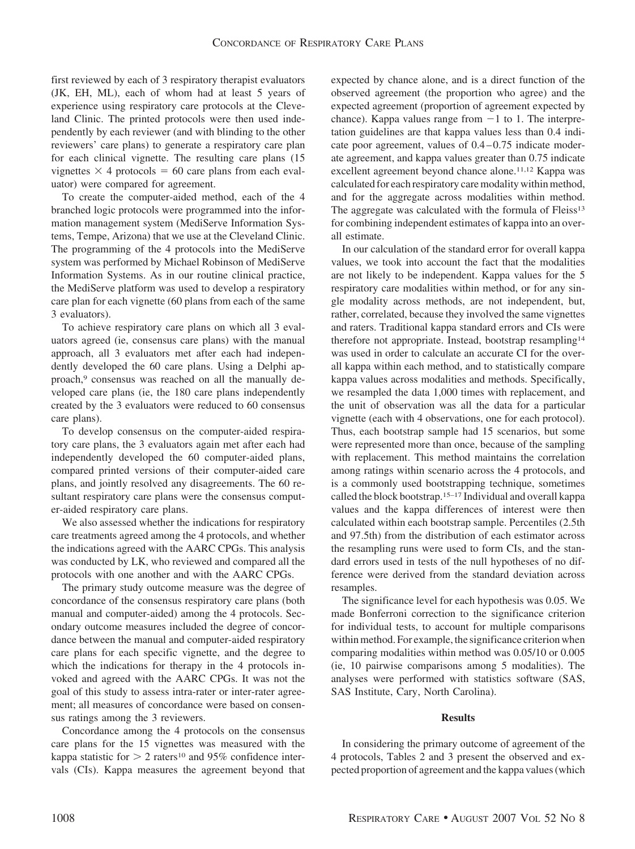first reviewed by each of 3 respiratory therapist evaluators (JK, EH, ML), each of whom had at least 5 years of experience using respiratory care protocols at the Cleveland Clinic. The printed protocols were then used independently by each reviewer (and with blinding to the other reviewers' care plans) to generate a respiratory care plan for each clinical vignette. The resulting care plans (15 vignettes  $\times$  4 protocols = 60 care plans from each evaluator) were compared for agreement.

To create the computer-aided method, each of the 4 branched logic protocols were programmed into the information management system (MediServe Information Systems, Tempe, Arizona) that we use at the Cleveland Clinic. The programming of the 4 protocols into the MediServe system was performed by Michael Robinson of MediServe Information Systems. As in our routine clinical practice, the MediServe platform was used to develop a respiratory care plan for each vignette (60 plans from each of the same 3 evaluators).

To achieve respiratory care plans on which all 3 evaluators agreed (ie, consensus care plans) with the manual approach, all 3 evaluators met after each had independently developed the 60 care plans. Using a Delphi approach,<sup>9</sup> consensus was reached on all the manually developed care plans (ie, the 180 care plans independently created by the 3 evaluators were reduced to 60 consensus care plans).

To develop consensus on the computer-aided respiratory care plans, the 3 evaluators again met after each had independently developed the 60 computer-aided plans, compared printed versions of their computer-aided care plans, and jointly resolved any disagreements. The 60 resultant respiratory care plans were the consensus computer-aided respiratory care plans.

We also assessed whether the indications for respiratory care treatments agreed among the 4 protocols, and whether the indications agreed with the AARC CPGs. This analysis was conducted by LK, who reviewed and compared all the protocols with one another and with the AARC CPGs.

The primary study outcome measure was the degree of concordance of the consensus respiratory care plans (both manual and computer-aided) among the 4 protocols. Secondary outcome measures included the degree of concordance between the manual and computer-aided respiratory care plans for each specific vignette, and the degree to which the indications for therapy in the 4 protocols invoked and agreed with the AARC CPGs. It was not the goal of this study to assess intra-rater or inter-rater agreement; all measures of concordance were based on consensus ratings among the 3 reviewers.

Concordance among the 4 protocols on the consensus care plans for the 15 vignettes was measured with the kappa statistic for  $> 2$  raters<sup>10</sup> and 95% confidence intervals (CIs). Kappa measures the agreement beyond that expected by chance alone, and is a direct function of the observed agreement (the proportion who agree) and the expected agreement (proportion of agreement expected by chance). Kappa values range from  $-1$  to 1. The interpretation guidelines are that kappa values less than 0.4 indicate poor agreement, values of  $0.4 - 0.75$  indicate moderate agreement, and kappa values greater than 0.75 indicate excellent agreement beyond chance alone.11,12 Kappa was calculated for each respiratory care modality within method, and for the aggregate across modalities within method. The aggregate was calculated with the formula of Fleiss<sup>13</sup> for combining independent estimates of kappa into an overall estimate.

In our calculation of the standard error for overall kappa values, we took into account the fact that the modalities are not likely to be independent. Kappa values for the 5 respiratory care modalities within method, or for any single modality across methods, are not independent, but, rather, correlated, because they involved the same vignettes and raters. Traditional kappa standard errors and CIs were therefore not appropriate. Instead, bootstrap resampling<sup>14</sup> was used in order to calculate an accurate CI for the overall kappa within each method, and to statistically compare kappa values across modalities and methods. Specifically, we resampled the data 1,000 times with replacement, and the unit of observation was all the data for a particular vignette (each with 4 observations, one for each protocol). Thus, each bootstrap sample had 15 scenarios, but some were represented more than once, because of the sampling with replacement. This method maintains the correlation among ratings within scenario across the 4 protocols, and is a commonly used bootstrapping technique, sometimes called the block bootstrap.15–17 Individual and overall kappa values and the kappa differences of interest were then calculated within each bootstrap sample. Percentiles (2.5th and 97.5th) from the distribution of each estimator across the resampling runs were used to form CIs, and the standard errors used in tests of the null hypotheses of no difference were derived from the standard deviation across resamples.

The significance level for each hypothesis was 0.05. We made Bonferroni correction to the significance criterion for individual tests, to account for multiple comparisons within method. For example, the significance criterion when comparing modalities within method was 0.05/10 or 0.005 (ie, 10 pairwise comparisons among 5 modalities). The analyses were performed with statistics software (SAS, SAS Institute, Cary, North Carolina).

#### **Results**

In considering the primary outcome of agreement of the 4 protocols, Tables 2 and 3 present the observed and expected proportion of agreement and the kappa values (which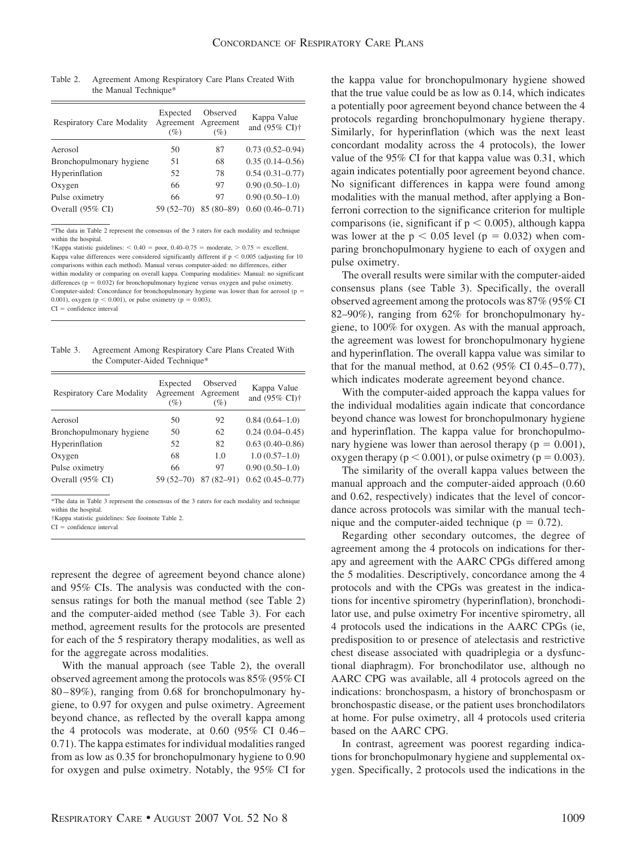| <b>Respiratory Care Modality</b> | Expected<br>Agreement<br>(%) | Observed<br>Agreement<br>$(\%)$ | Kappa Value<br>and (95% CI) <sup>+</sup> |
|----------------------------------|------------------------------|---------------------------------|------------------------------------------|
| Aerosol                          | 50                           | 87                              | $0.73(0.52 - 0.94)$                      |
| Bronchopulmonary hygiene         | 51                           | 68                              | $0.35(0.14 - 0.56)$                      |
| Hyperinflation                   | 52                           | 78                              | $0.54(0.31 - 0.77)$                      |
| Oxygen                           | 66                           | 97                              | $0.90(0.50-1.0)$                         |
| Pulse oximetry                   | 66                           | 97                              | $0.90(0.50-1.0)$                         |
| Overall (95% CI)                 | $59(52 - 70)$                | 85 (80-89)                      | $0.60(0.46 - 0.71)$                      |
|                                  |                              |                                 |                                          |

Table 2. Agreement Among Respiratory Care Plans Created With the Manual Technique\*

\*The data in Table 2 represent the consensus of the 3 raters for each modality and technique within the hospital.

†Kappa statistic guidelines:  $< 0.40$  = poor, 0.40–0.75 = moderate,  $> 0.75$  = excellent. Kappa value differences were considered significantly different if  $p < 0.005$  (adjusting for 10 comparisons within each method). Manual versus computer-aided: no differences, either within modality or comparing on overall kappa. Comparing modalities: Manual: no significant differences ( $p = 0.032$ ) for bronchopulmonary hygiene versus oxygen and pulse oximetry. Computer-aided: Concordance for bronchopulmonary hygiene was lower than for aerosol (p 0.001), oxygen ( $p < 0.001$ ), or pulse oximetry ( $p = 0.003$ ).

 $CI = confidence$  interval

Table 3. Agreement Among Respiratory Care Plans Created With the Computer-Aided Technique\*

| <b>Respiratory Care Modality</b> | Expected<br>$(\%)$ | Observed<br>Agreement Agreement<br>(%) | Kappa Value<br>and (95% CI) <sup>+</sup> |
|----------------------------------|--------------------|----------------------------------------|------------------------------------------|
| Aerosol                          | 50                 | 92                                     | $0.84(0.64-1.0)$                         |
| Bronchopulmonary hygiene         | 50                 | 62                                     | $0.24(0.04 - 0.45)$                      |
| Hyperinflation                   | 52                 | 82                                     | $0.63(0.40 - 0.86)$                      |
| Oxygen                           | 68                 | 1.0                                    | $1.0(0.57-1.0)$                          |
| Pulse oximetry                   | 66                 | 97                                     | $0.90(0.50-1.0)$                         |
| Overall (95% CI)                 | $59(52 - 70)$      | $87(82 - 91)$                          | $0.62(0.45 - 0.77)$                      |

\*The data in Table 3 represent the consensus of the 3 raters for each modality and technique within the hospital.

†Kappa statistic guidelines: See footnote Table 2.

 $CI = confidence$  interval

represent the degree of agreement beyond chance alone) and 95% CIs. The analysis was conducted with the consensus ratings for both the manual method (see Table 2) and the computer-aided method (see Table 3). For each method, agreement results for the protocols are presented for each of the 5 respiratory therapy modalities, as well as for the aggregate across modalities.

With the manual approach (see Table 2), the overall observed agreement among the protocols was 85% (95% CI 80 – 89%), ranging from 0.68 for bronchopulmonary hygiene, to 0.97 for oxygen and pulse oximetry. Agreement beyond chance, as reflected by the overall kappa among the 4 protocols was moderate, at  $0.60$  (95% CI  $0.46-$ 0.71). The kappa estimates for individual modalities ranged from as low as 0.35 for bronchopulmonary hygiene to 0.90 for oxygen and pulse oximetry. Notably, the 95% CI for the kappa value for bronchopulmonary hygiene showed that the true value could be as low as 0.14, which indicates a potentially poor agreement beyond chance between the 4 protocols regarding bronchopulmonary hygiene therapy. Similarly, for hyperinflation (which was the next least concordant modality across the 4 protocols), the lower value of the 95% CI for that kappa value was 0.31, which again indicates potentially poor agreement beyond chance. No significant differences in kappa were found among modalities with the manual method, after applying a Bonferroni correction to the significance criterion for multiple comparisons (ie, significant if  $p < 0.005$ ), although kappa was lower at the  $p < 0.05$  level ( $p = 0.032$ ) when comparing bronchopulmonary hygiene to each of oxygen and pulse oximetry.

The overall results were similar with the computer-aided consensus plans (see Table 3). Specifically, the overall observed agreement among the protocols was 87% (95% CI 82–90%), ranging from 62% for bronchopulmonary hygiene, to 100% for oxygen. As with the manual approach, the agreement was lowest for bronchopulmonary hygiene and hyperinflation. The overall kappa value was similar to that for the manual method, at  $0.62$  (95% CI 0.45–0.77), which indicates moderate agreement beyond chance.

With the computer-aided approach the kappa values for the individual modalities again indicate that concordance beyond chance was lowest for bronchopulmonary hygiene and hyperinflation. The kappa value for bronchopulmonary hygiene was lower than aerosol therapy ( $p = 0.001$ ), oxygen therapy ( $p < 0.001$ ), or pulse oximetry ( $p = 0.003$ ).

The similarity of the overall kappa values between the manual approach and the computer-aided approach (0.60 and 0.62, respectively) indicates that the level of concordance across protocols was similar with the manual technique and the computer-aided technique ( $p = 0.72$ ).

Regarding other secondary outcomes, the degree of agreement among the 4 protocols on indications for therapy and agreement with the AARC CPGs differed among the 5 modalities. Descriptively, concordance among the 4 protocols and with the CPGs was greatest in the indications for incentive spirometry (hyperinflation), bronchodilator use, and pulse oximetry For incentive spirometry, all 4 protocols used the indications in the AARC CPGs (ie, predisposition to or presence of atelectasis and restrictive chest disease associated with quadriplegia or a dysfunctional diaphragm). For bronchodilator use, although no AARC CPG was available, all 4 protocols agreed on the indications: bronchospasm, a history of bronchospasm or bronchospastic disease, or the patient uses bronchodilators at home. For pulse oximetry, all 4 protocols used criteria based on the AARC CPG.

In contrast, agreement was poorest regarding indications for bronchopulmonary hygiene and supplemental oxygen. Specifically, 2 protocols used the indications in the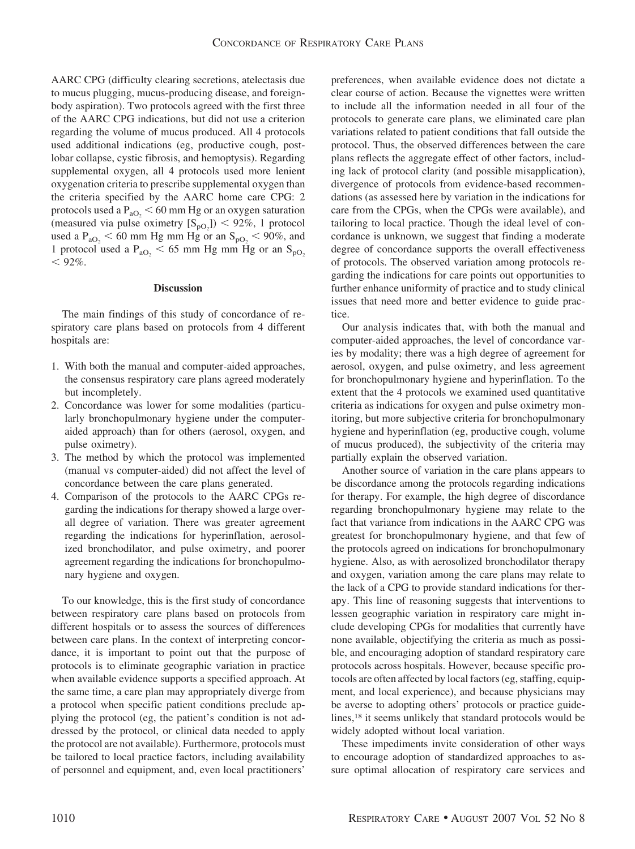AARC CPG (difficulty clearing secretions, atelectasis due to mucus plugging, mucus-producing disease, and foreignbody aspiration). Two protocols agreed with the first three of the AARC CPG indications, but did not use a criterion regarding the volume of mucus produced. All 4 protocols used additional indications (eg, productive cough, postlobar collapse, cystic fibrosis, and hemoptysis). Regarding supplemental oxygen, all 4 protocols used more lenient oxygenation criteria to prescribe supplemental oxygen than the criteria specified by the AARC home care CPG: 2 protocols used a  $P_{aO<sub>2</sub>}$  < 60 mm Hg or an oxygen saturation (measured via pulse oximetry  $[S_{pQ_2}]$ ) < 92%, 1 protocol used a  $P_{aO_2}$  < 60 mm Hg mm Hg or an  $S_{pO_2}$  < 90%, and 1 protocol used a  $P_{aO_2}$  < 65 mm Hg mm Hg or an  $S_{pO_2}$  $< 92\%$ .

## **Discussion**

The main findings of this study of concordance of respiratory care plans based on protocols from 4 different hospitals are:

- 1. With both the manual and computer-aided approaches, the consensus respiratory care plans agreed moderately but incompletely.
- 2. Concordance was lower for some modalities (particularly bronchopulmonary hygiene under the computeraided approach) than for others (aerosol, oxygen, and pulse oximetry).
- 3. The method by which the protocol was implemented (manual vs computer-aided) did not affect the level of concordance between the care plans generated.
- 4. Comparison of the protocols to the AARC CPGs regarding the indications for therapy showed a large overall degree of variation. There was greater agreement regarding the indications for hyperinflation, aerosolized bronchodilator, and pulse oximetry, and poorer agreement regarding the indications for bronchopulmonary hygiene and oxygen.

To our knowledge, this is the first study of concordance between respiratory care plans based on protocols from different hospitals or to assess the sources of differences between care plans. In the context of interpreting concordance, it is important to point out that the purpose of protocols is to eliminate geographic variation in practice when available evidence supports a specified approach. At the same time, a care plan may appropriately diverge from a protocol when specific patient conditions preclude applying the protocol (eg, the patient's condition is not addressed by the protocol, or clinical data needed to apply the protocol are not available). Furthermore, protocols must be tailored to local practice factors, including availability of personnel and equipment, and, even local practitioners'

preferences, when available evidence does not dictate a clear course of action. Because the vignettes were written to include all the information needed in all four of the protocols to generate care plans, we eliminated care plan variations related to patient conditions that fall outside the protocol. Thus, the observed differences between the care plans reflects the aggregate effect of other factors, including lack of protocol clarity (and possible misapplication), divergence of protocols from evidence-based recommendations (as assessed here by variation in the indications for care from the CPGs, when the CPGs were available), and tailoring to local practice. Though the ideal level of concordance is unknown, we suggest that finding a moderate degree of concordance supports the overall effectiveness of protocols. The observed variation among protocols regarding the indications for care points out opportunities to further enhance uniformity of practice and to study clinical issues that need more and better evidence to guide practice.

Our analysis indicates that, with both the manual and computer-aided approaches, the level of concordance varies by modality; there was a high degree of agreement for aerosol, oxygen, and pulse oximetry, and less agreement for bronchopulmonary hygiene and hyperinflation. To the extent that the 4 protocols we examined used quantitative criteria as indications for oxygen and pulse oximetry monitoring, but more subjective criteria for bronchopulmonary hygiene and hyperinflation (eg, productive cough, volume of mucus produced), the subjectivity of the criteria may partially explain the observed variation.

Another source of variation in the care plans appears to be discordance among the protocols regarding indications for therapy. For example, the high degree of discordance regarding bronchopulmonary hygiene may relate to the fact that variance from indications in the AARC CPG was greatest for bronchopulmonary hygiene, and that few of the protocols agreed on indications for bronchopulmonary hygiene. Also, as with aerosolized bronchodilator therapy and oxygen, variation among the care plans may relate to the lack of a CPG to provide standard indications for therapy. This line of reasoning suggests that interventions to lessen geographic variation in respiratory care might include developing CPGs for modalities that currently have none available, objectifying the criteria as much as possible, and encouraging adoption of standard respiratory care protocols across hospitals. However, because specific protocols are often affected by local factors (eg, staffing, equipment, and local experience), and because physicians may be averse to adopting others' protocols or practice guidelines,18 it seems unlikely that standard protocols would be widely adopted without local variation.

These impediments invite consideration of other ways to encourage adoption of standardized approaches to assure optimal allocation of respiratory care services and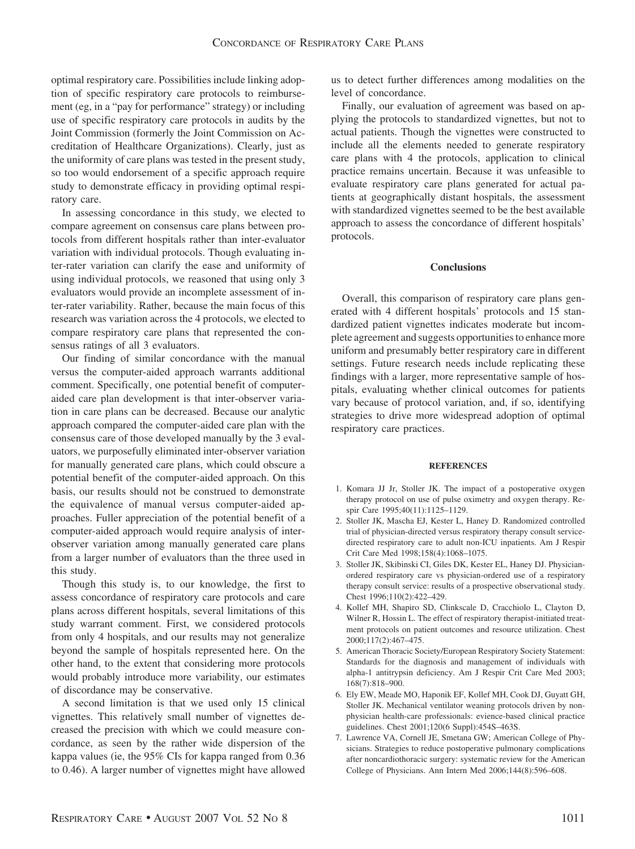optimal respiratory care. Possibilities include linking adoption of specific respiratory care protocols to reimbursement (eg, in a "pay for performance" strategy) or including use of specific respiratory care protocols in audits by the Joint Commission (formerly the Joint Commission on Accreditation of Healthcare Organizations). Clearly, just as the uniformity of care plans was tested in the present study, so too would endorsement of a specific approach require study to demonstrate efficacy in providing optimal respiratory care.

In assessing concordance in this study, we elected to compare agreement on consensus care plans between protocols from different hospitals rather than inter-evaluator variation with individual protocols. Though evaluating inter-rater variation can clarify the ease and uniformity of using individual protocols, we reasoned that using only 3 evaluators would provide an incomplete assessment of inter-rater variability. Rather, because the main focus of this research was variation across the 4 protocols, we elected to compare respiratory care plans that represented the consensus ratings of all 3 evaluators.

Our finding of similar concordance with the manual versus the computer-aided approach warrants additional comment. Specifically, one potential benefit of computeraided care plan development is that inter-observer variation in care plans can be decreased. Because our analytic approach compared the computer-aided care plan with the consensus care of those developed manually by the 3 evaluators, we purposefully eliminated inter-observer variation for manually generated care plans, which could obscure a potential benefit of the computer-aided approach. On this basis, our results should not be construed to demonstrate the equivalence of manual versus computer-aided approaches. Fuller appreciation of the potential benefit of a computer-aided approach would require analysis of interobserver variation among manually generated care plans from a larger number of evaluators than the three used in this study.

Though this study is, to our knowledge, the first to assess concordance of respiratory care protocols and care plans across different hospitals, several limitations of this study warrant comment. First, we considered protocols from only 4 hospitals, and our results may not generalize beyond the sample of hospitals represented here. On the other hand, to the extent that considering more protocols would probably introduce more variability, our estimates of discordance may be conservative.

A second limitation is that we used only 15 clinical vignettes. This relatively small number of vignettes decreased the precision with which we could measure concordance, as seen by the rather wide dispersion of the kappa values (ie, the 95% CIs for kappa ranged from 0.36 to 0.46). A larger number of vignettes might have allowed us to detect further differences among modalities on the level of concordance.

Finally, our evaluation of agreement was based on applying the protocols to standardized vignettes, but not to actual patients. Though the vignettes were constructed to include all the elements needed to generate respiratory care plans with 4 the protocols, application to clinical practice remains uncertain. Because it was unfeasible to evaluate respiratory care plans generated for actual patients at geographically distant hospitals, the assessment with standardized vignettes seemed to be the best available approach to assess the concordance of different hospitals' protocols.

# **Conclusions**

Overall, this comparison of respiratory care plans generated with 4 different hospitals' protocols and 15 standardized patient vignettes indicates moderate but incomplete agreement and suggests opportunities to enhance more uniform and presumably better respiratory care in different settings. Future research needs include replicating these findings with a larger, more representative sample of hospitals, evaluating whether clinical outcomes for patients vary because of protocol variation, and, if so, identifying strategies to drive more widespread adoption of optimal respiratory care practices.

#### **REFERENCES**

- 1. Komara JJ Jr, Stoller JK. The impact of a postoperative oxygen therapy protocol on use of pulse oximetry and oxygen therapy. Respir Care 1995;40(11):1125–1129.
- 2. Stoller JK, Mascha EJ, Kester L, Haney D. Randomized controlled trial of physician-directed versus respiratory therapy consult servicedirected respiratory care to adult non-ICU inpatients. Am J Respir Crit Care Med 1998;158(4):1068–1075.
- 3. Stoller JK, Skibinski CI, Giles DK, Kester EL, Haney DJ. Physicianordered respiratory care vs physician-ordered use of a respiratory therapy consult service: results of a prospective observational study. Chest 1996;110(2):422–429.
- 4. Kollef MH, Shapiro SD, Clinkscale D, Cracchiolo L, Clayton D, Wilner R, Hossin L. The effect of respiratory therapist-initiated treatment protocols on patient outcomes and resource utilization. Chest 2000;117(2):467–475.
- 5. American Thoracic Society/European Respiratory Society Statement: Standards for the diagnosis and management of individuals with alpha-1 antitrypsin deficiency. Am J Respir Crit Care Med 2003; 168(7):818–900.
- 6. Ely EW, Meade MO, Haponik EF, Kollef MH, Cook DJ, Guyatt GH, Stoller JK. Mechanical ventilator weaning protocols driven by nonphysician health-care professionals: evience-based clinical practice guidelines. Chest 2001;120(6 Suppl):454S–463S.
- 7. Lawrence VA, Cornell JE, Smetana GW; American College of Physicians. Strategies to reduce postoperative pulmonary complications after noncardiothoracic surgery: systematic review for the American College of Physicians. Ann Intern Med 2006;144(8):596–608.